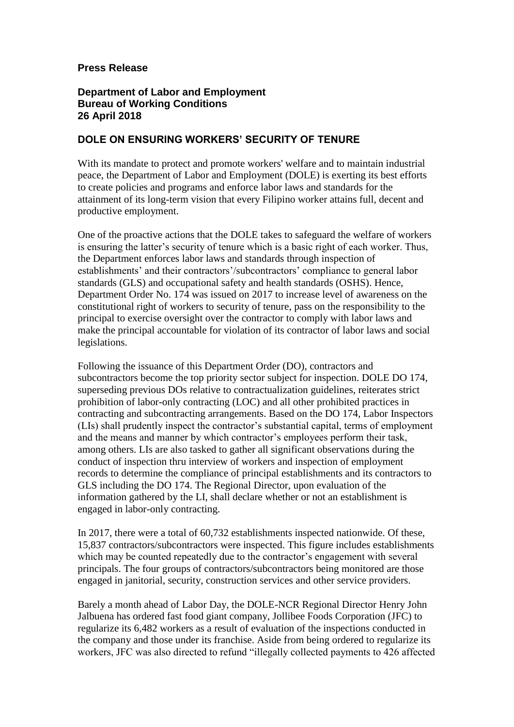## **Press Release**

## **Department of Labor and Employment Bureau of Working Conditions 26 April 2018**

## **DOLE ON ENSURING WORKERS' SECURITY OF TENURE**

With its mandate to protect and promote workers' welfare and to maintain industrial peace, the Department of Labor and Employment (DOLE) is exerting its best efforts to create policies and programs and enforce labor laws and standards for the attainment of its long-term vision that every Filipino worker attains full, decent and productive employment.

One of the proactive actions that the DOLE takes to safeguard the welfare of workers is ensuring the latter's security of tenure which is a basic right of each worker. Thus, the Department enforces labor laws and standards through inspection of establishments' and their contractors'/subcontractors' compliance to general labor standards (GLS) and occupational safety and health standards (OSHS). Hence, Department Order No. 174 was issued on 2017 to increase level of awareness on the constitutional right of workers to security of tenure, pass on the responsibility to the principal to exercise oversight over the contractor to comply with labor laws and make the principal accountable for violation of its contractor of labor laws and social legislations.

Following the issuance of this Department Order (DO), contractors and subcontractors become the top priority sector subject for inspection. DOLE DO 174, superseding previous DOs relative to contractualization guidelines, reiterates strict prohibition of labor-only contracting (LOC) and all other prohibited practices in contracting and subcontracting arrangements. Based on the DO 174, Labor Inspectors (LIs) shall prudently inspect the contractor's substantial capital, terms of employment and the means and manner by which contractor's employees perform their task, among others. LIs are also tasked to gather all significant observations during the conduct of inspection thru interview of workers and inspection of employment records to determine the compliance of principal establishments and its contractors to GLS including the DO 174. The Regional Director, upon evaluation of the information gathered by the LI, shall declare whether or not an establishment is engaged in labor-only contracting.

In 2017, there were a total of 60,732 establishments inspected nationwide. Of these, 15,837 contractors/subcontractors were inspected. This figure includes establishments which may be counted repeatedly due to the contractor's engagement with several principals. The four groups of contractors/subcontractors being monitored are those engaged in janitorial, security, construction services and other service providers.

Barely a month ahead of Labor Day, the DOLE-NCR Regional Director Henry John Jalbuena has ordered fast food giant company, Jollibee Foods Corporation (JFC) to regularize its 6,482 workers as a result of evaluation of the inspections conducted in the company and those under its franchise. Aside from being ordered to regularize its workers, JFC was also directed to refund "illegally collected payments to 426 affected